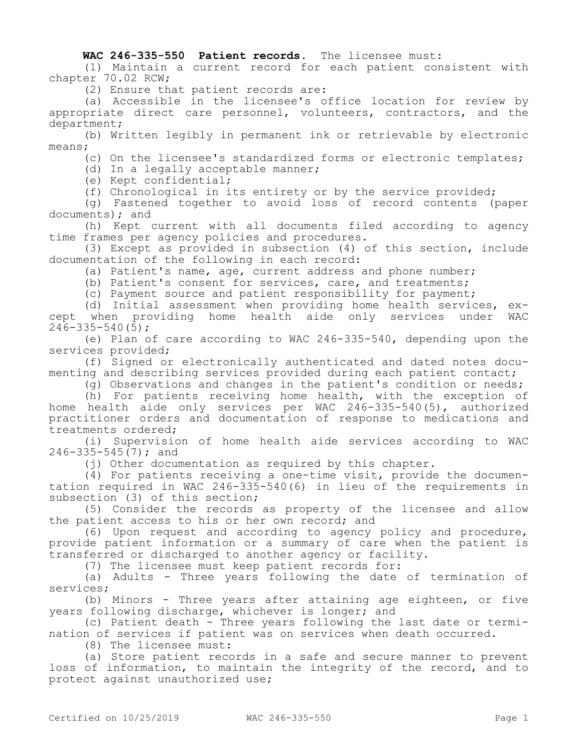## **WAC 246-335-550 Patient records.** The licensee must:

(1) Maintain a current record for each patient consistent with chapter 70.02 RCW;

(2) Ensure that patient records are:

(a) Accessible in the licensee's office location for review by appropriate direct care personnel, volunteers, contractors, and the department;

(b) Written legibly in permanent ink or retrievable by electronic means;

(c) On the licensee's standardized forms or electronic templates;

(d) In a legally acceptable manner;

(e) Kept confidential;

(f) Chronological in its entirety or by the service provided;

(g) Fastened together to avoid loss of record contents (paper documents); and

(h) Kept current with all documents filed according to agency time frames per agency policies and procedures.

(3) Except as provided in subsection (4) of this section, include documentation of the following in each record:

(a) Patient's name, age, current address and phone number;

(b) Patient's consent for services, care, and treatments;

(c) Payment source and patient responsibility for payment;

(d) Initial assessment when providing home health services, except when providing home health aide only services under WAC  $246 - 335 - 540(5)$ ;

(e) Plan of care according to WAC 246-335-540, depending upon the services provided;

(f) Signed or electronically authenticated and dated notes documenting and describing services provided during each patient contact;

(g) Observations and changes in the patient's condition or needs;

(h) For patients receiving home health, with the exception of home health aide only services per WAC 246-335-540(5), authorized practitioner orders and documentation of response to medications and treatments ordered;

(i) Supervision of home health aide services according to WAC 246-335-545(7); and

(j) Other documentation as required by this chapter.

(4) For patients receiving a one-time visit, provide the documentation required in WAC 246-335-540(6) in lieu of the requirements in subsection (3) of this section;

(5) Consider the records as property of the licensee and allow the patient access to his or her own record; and

(6) Upon request and according to agency policy and procedure, provide patient information or a summary of care when the patient is transferred or discharged to another agency or facility.

(7) The licensee must keep patient records for:

(a) Adults - Three years following the date of termination of services;

(b) Minors - Three years after attaining age eighteen, or five years following discharge, whichever is longer; and

(c) Patient death - Three years following the last date or termination of services if patient was on services when death occurred.

(8) The licensee must:

(a) Store patient records in a safe and secure manner to prevent loss of information, to maintain the integrity of the record, and to protect against unauthorized use;